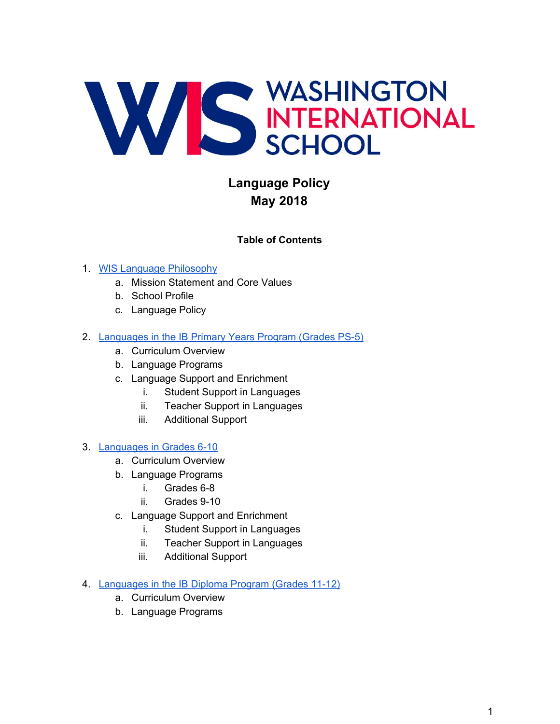

# **Language Policy May 2018**

#### **Table of Contents**

#### 1. [WIS Language Philosophy](#page-1-0)

- a. Mission Statement and Core Values
- b. School Profile
- c. Language Policy
- 2. [Languages in the IB Primary Years Program \(Grades PS-5\)](#page-3-0)
	- a. Curriculum Overview
	- b. Language Programs
	- c. Language Support and Enrichment
		- i. Student Support in Languages
		- ii. Teacher Support in Languages
		- iii. Additional Support

#### 3. [Languages in Grades 6-10](#page-7-0)

- a. Curriculum Overview
- b. Language Programs
	- i. Grades 6-8
	- ii. Grades 9-10
- c. Language Support and Enrichment
	- i. Student Support in Languages
	- ii. Teacher Support in Languages
	- iii. Additional Support
- 4. [Languages in the IB Diploma Program \(Grades 11-12\)](#page-11-0)
	- a. Curriculum Overview
	- b. Language Programs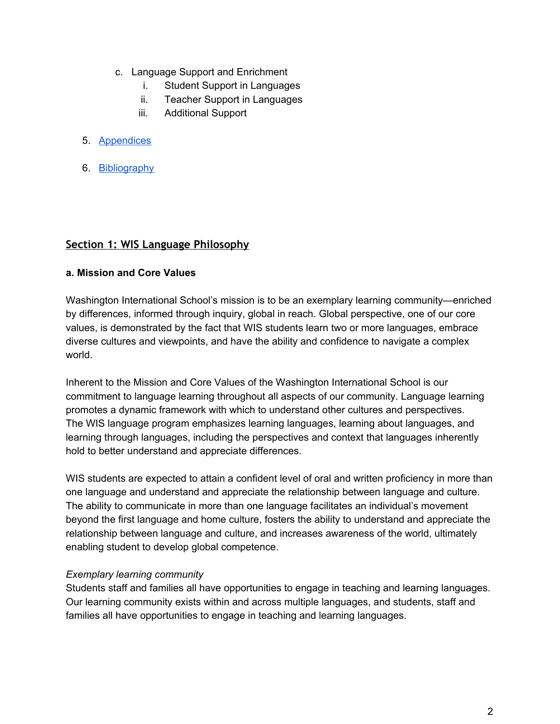- c. Language Support and Enrichment
	- i. Student Support in Languages
	- ii. Teacher Support in Languages
	- iii. Additional Support
- 5. [Appendices](#page-14-0)
- 6. [Bibliography](#page-14-1)

#### <span id="page-1-0"></span>**Section 1: WIS Language Philosophy**

#### **a. Mission and Core Values**

Washington International School's mission is to be an exemplary learning community—enriched by differences, informed through inquiry, global in reach. Global perspective, one of our core values, is demonstrated by the fact that WIS students learn two or more languages, embrace diverse cultures and viewpoints, and have the ability and confidence to navigate a complex world.

Inherent to the Mission and Core Values of the Washington International School is our commitment to language learning throughout all aspects of our community. Language learning promotes a dynamic framework with which to understand other cultures and perspectives. The WIS language program emphasizes learning languages, learning about languages, and learning through languages, including the perspectives and context that languages inherently hold to better understand and appreciate differences.

WIS students are expected to attain a confident level of oral and written proficiency in more than one language and understand and appreciate the relationship between language and culture. The ability to communicate in more than one language facilitates an individual's movement beyond the first language and home culture, fosters the ability to understand and appreciate the relationship between language and culture, and increases awareness of the world, ultimately enabling student to develop global competence.

#### *Exemplary learning community*

Students staff and families all have opportunities to engage in teaching and learning languages. Our learning community exists within and across multiple languages, and students, staff and families all have opportunities to engage in teaching and learning languages.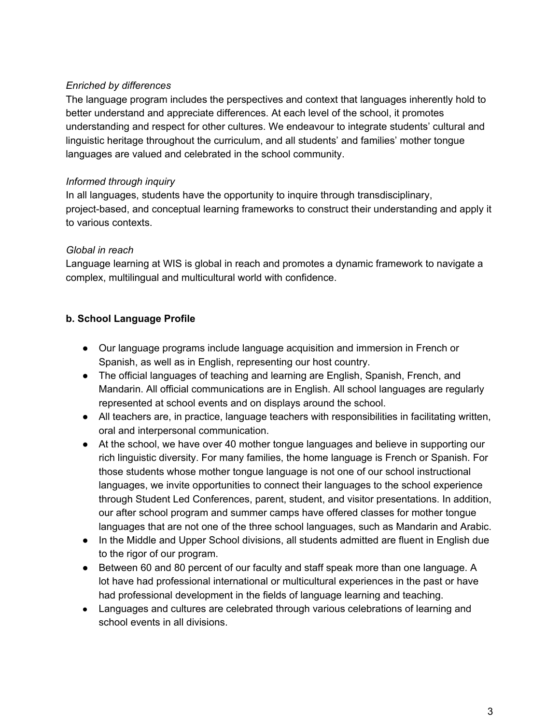#### *Enriched by differences*

The language program includes the perspectives and context that languages inherently hold to better understand and appreciate differences. At each level of the school, it promotes understanding and respect for other cultures. We endeavour to integrate students' cultural and linguistic heritage throughout the curriculum, and all students' and families' mother tongue languages are valued and celebrated in the school community.

#### *Informed through inquiry*

In all languages, students have the opportunity to inquire through transdisciplinary, project-based, and conceptual learning frameworks to construct their understanding and apply it to various contexts.

### *Global in reach*

Language learning at WIS is global in reach and promotes a dynamic framework to navigate a complex, multilingual and multicultural world with confidence.

### **b. School Language Profile**

- Our language programs include language acquisition and immersion in French or Spanish, as well as in English, representing our host country.
- The official languages of teaching and learning are English, Spanish, French, and Mandarin. All official communications are in English. All school languages are regularly represented at school events and on displays around the school.
- All teachers are, in practice, language teachers with responsibilities in facilitating written, oral and interpersonal communication.
- At the school, we have over 40 mother tongue languages and believe in supporting our rich linguistic diversity. For many families, the home language is French or Spanish. For those students whose mother tongue language is not one of our school instructional languages, we invite opportunities to connect their languages to the school experience through Student Led Conferences, parent, student, and visitor presentations. In addition, our after school program and summer camps have offered classes for mother tongue languages that are not one of the three school languages, such as Mandarin and Arabic.
- In the Middle and Upper School divisions, all students admitted are fluent in English due to the rigor of our program.
- Between 60 and 80 percent of our faculty and staff speak more than one language. A lot have had professional international or multicultural experiences in the past or have had professional development in the fields of language learning and teaching.
- Languages and cultures are celebrated through various celebrations of learning and school events in all divisions.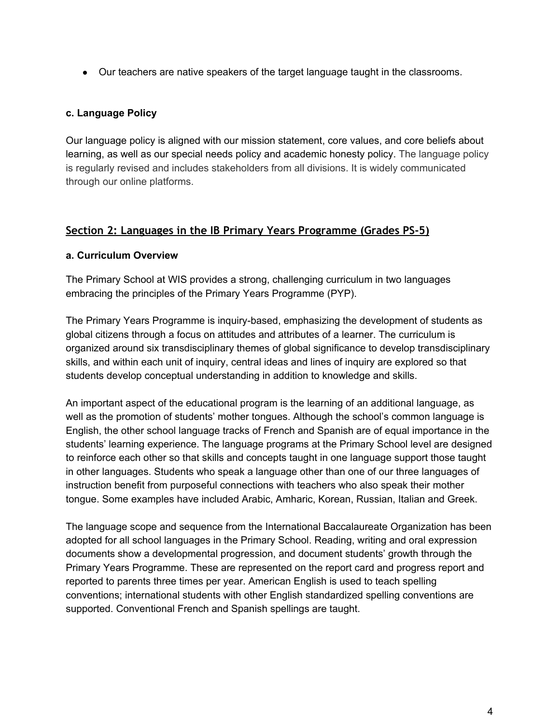● Our teachers are native speakers of the target language taught in the classrooms.

#### **c. Language Policy**

Our language policy is aligned with our mission statement, core values, and core beliefs about learning, as well as our special needs policy and academic honesty policy. The language policy is regularly revised and includes stakeholders from all divisions. It is widely communicated through our online platforms.

#### <span id="page-3-0"></span>**Section 2: Languages in the IB Primary Years Programme (Grades PS-5)**

#### **a. Curriculum Overview**

The Primary School at WIS provides a strong, challenging curriculum in two languages embracing the principles of the Primary Years Programme (PYP).

The Primary Years Programme is inquiry-based, emphasizing the development of students as global citizens through a focus on attitudes and attributes of a learner. The curriculum is organized around six transdisciplinary themes of global significance to develop transdisciplinary skills, and within each unit of inquiry, central ideas and lines of inquiry are explored so that students develop conceptual understanding in addition to knowledge and skills.

An important aspect of the educational program is the learning of an additional language, as well as the promotion of students' mother tongues. Although the school's common language is English, the other school language tracks of French and Spanish are of equal importance in the students' learning experience. The language programs at the Primary School level are designed to reinforce each other so that skills and concepts taught in one language support those taught in other languages. Students who speak a language other than one of our three languages of instruction benefit from purposeful connections with teachers who also speak their mother tongue. Some examples have included Arabic, Amharic, Korean, Russian, Italian and Greek.

The language scope and sequence from the International Baccalaureate Organization has been adopted for all school languages in the Primary School. Reading, writing and oral expression documents show a developmental progression, and document students' growth through the Primary Years Programme. These are represented on the report card and progress report and reported to parents three times per year. American English is used to teach spelling conventions; international students with other English standardized spelling conventions are supported. Conventional French and Spanish spellings are taught.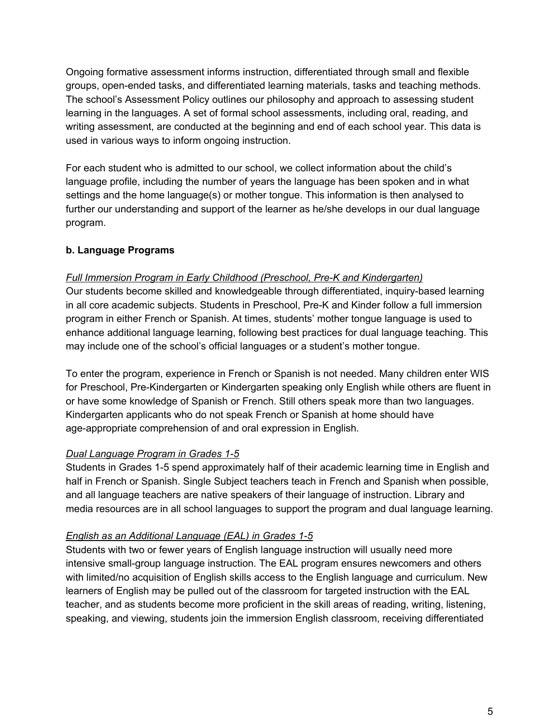Ongoing formative assessment informs instruction, differentiated through small and flexible groups, open-ended tasks, and differentiated learning materials, tasks and teaching methods. The school's Assessment Policy outlines our philosophy and approach to assessing student learning in the languages. A set of formal school assessments, including oral, reading, and writing assessment, are conducted at the beginning and end of each school year. This data is used in various ways to inform ongoing instruction.

For each student who is admitted to our school, we collect information about the child's language profile, including the number of years the language has been spoken and in what settings and the home language(s) or mother tongue. This information is then analysed to further our understanding and support of the learner as he/she develops in our dual language program.

#### **b. Language Programs**

#### *Full Immersion Program in Early Childhood (Preschool, Pre-K and Kindergarten)*

Our students become skilled and knowledgeable through differentiated, inquiry-based learning in all core academic subjects. Students in Preschool, Pre-K and Kinder follow a full immersion program in either French or Spanish. At times, students' mother tongue language is used to enhance additional language learning, following best practices for dual language teaching. This may include one of the school's official languages or a student's mother tongue.

To enter the program, experience in French or Spanish is not needed. Many children enter WIS for Preschool, Pre-Kindergarten or Kindergarten speaking only English while others are fluent in or have some knowledge of Spanish or French. Still others speak more than two languages. Kindergarten applicants who do not speak French or Spanish at home should have age-appropriate comprehension of and oral expression in English.

#### *Dual Language Program in Grades 1-5*

Students in Grades 1-5 spend approximately half of their academic learning time in English and half in French or Spanish. Single Subject teachers teach in French and Spanish when possible, and all language teachers are native speakers of their language of instruction. Library and media resources are in all school languages to support the program and dual language learning.

#### *English as an Additional Language (EAL) in Grades 1-5*

Students with two or fewer years of English language instruction will usually need more intensive small-group language instruction. The EAL program ensures newcomers and others with limited/no acquisition of English skills access to the English language and curriculum. New learners of English may be pulled out of the classroom for targeted instruction with the EAL teacher, and as students become more proficient in the skill areas of reading, writing, listening, speaking, and viewing, students join the immersion English classroom, receiving differentiated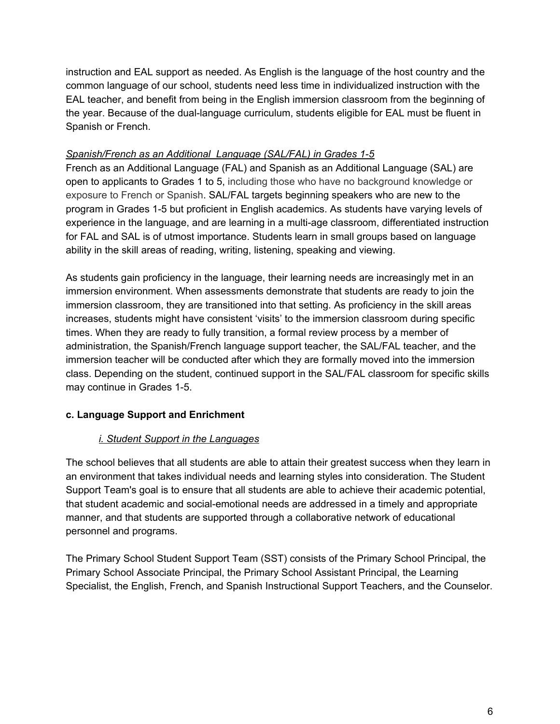instruction and EAL support as needed. As English is the language of the host country and the common language of our school, students need less time in individualized instruction with the EAL teacher, and benefit from being in the English immersion classroom from the beginning of the year. Because of the dual-language curriculum, students eligible for EAL must be fluent in Spanish or French.

#### *Spanish/French as an Additional Language (SAL/FAL) in Grades 1-5*

French as an Additional Language (FAL) and Spanish as an Additional Language (SAL) are open to applicants to Grades 1 to 5, including those who have no background knowledge or exposure to French or Spanish. SAL/FAL targets beginning speakers who are new to the program in Grades 1-5 but proficient in English academics. As students have varying levels of experience in the language, and are learning in a multi-age classroom, differentiated instruction for FAL and SAL is of utmost importance. Students learn in small groups based on language ability in the skill areas of reading, writing, listening, speaking and viewing.

As students gain proficiency in the language, their learning needs are increasingly met in an immersion environment. When assessments demonstrate that students are ready to join the immersion classroom, they are transitioned into that setting. As proficiency in the skill areas increases, students might have consistent 'visits' to the immersion classroom during specific times. When they are ready to fully transition, a formal review process by a member of administration, the Spanish/French language support teacher, the SAL/FAL teacher, and the immersion teacher will be conducted after which they are formally moved into the immersion class. Depending on the student, continued support in the SAL/FAL classroom for specific skills may continue in Grades 1-5.

### **c. Language Support and Enrichment**

### *i. Student Support in the Languages*

The school believes that all students are able to attain their greatest success when they learn in an environment that takes individual needs and learning styles into consideration. The Student Support Team's goal is to ensure that all students are able to achieve their academic potential, that student academic and social-emotional needs are addressed in a timely and appropriate manner, and that students are supported through a collaborative network of educational personnel and programs.

The Primary School Student Support Team (SST) consists of the Primary School Principal, the Primary School Associate Principal, the Primary School Assistant Principal, the Learning Specialist, the English, French, and Spanish Instructional Support Teachers, and the Counselor.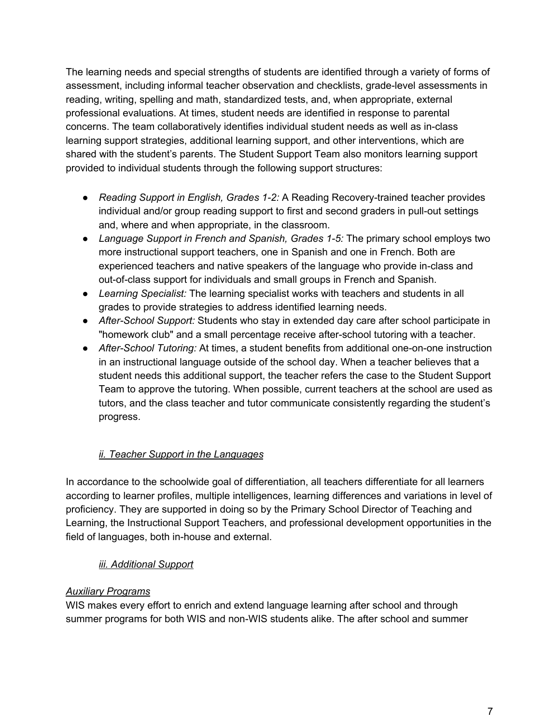The learning needs and special strengths of students are identified through a variety of forms of assessment, including informal teacher observation and checklists, grade-level assessments in reading, writing, spelling and math, standardized tests, and, when appropriate, external professional evaluations. At times, student needs are identified in response to parental concerns. The team collaboratively identifies individual student needs as well as in-class learning support strategies, additional learning support, and other interventions, which are shared with the student's parents. The Student Support Team also monitors learning support provided to individual students through the following support structures:

- *Reading Support in English, Grades 1-2:* A Reading Recovery-trained teacher provides individual and/or group reading support to first and second graders in pull-out settings and, where and when appropriate, in the classroom.
- *Language Support in French and Spanish, Grades 1-5:* The primary school employs two more instructional support teachers, one in Spanish and one in French. Both are experienced teachers and native speakers of the language who provide in-class and out-of-class support for individuals and small groups in French and Spanish.
- *Learning Specialist:* The learning specialist works with teachers and students in all grades to provide strategies to address identified learning needs.
- *After-School Support:* Students who stay in extended day care after school participate in "homework club" and a small percentage receive after-school tutoring with a teacher.
- *After-School Tutoring:* At times, a student benefits from additional one-on-one instruction in an instructional language outside of the school day. When a teacher believes that a student needs this additional support, the teacher refers the case to the Student Support Team to approve the tutoring. When possible, current teachers at the school are used as tutors, and the class teacher and tutor communicate consistently regarding the student's progress.

# *ii. Teacher Support in the Languages*

In accordance to the schoolwide goal of differentiation, all teachers differentiate for all learners according to learner profiles, multiple intelligences, learning differences and variations in level of proficiency. They are supported in doing so by the Primary School Director of Teaching and Learning, the Instructional Support Teachers, and professional development opportunities in the field of languages, both in-house and external.

### *iii. Additional Support*

### *Auxiliary Programs*

WIS makes every effort to enrich and extend language learning after school and through summer programs for both WIS and non-WIS students alike. The after school and summer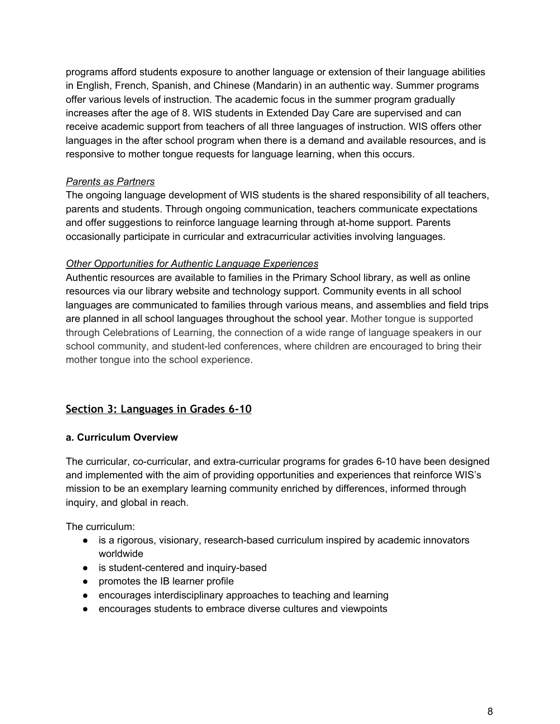programs afford students exposure to another language or extension of their language abilities in English, French, Spanish, and Chinese (Mandarin) in an authentic way. Summer programs offer various levels of instruction. The academic focus in the summer program gradually increases after the age of 8. WIS students in Extended Day Care are supervised and can receive academic support from teachers of all three languages of instruction. WIS offers other languages in the after school program when there is a demand and available resources, and is responsive to mother tongue requests for language learning, when this occurs.

#### *Parents as Partners*

The ongoing language development of WIS students is the shared responsibility of all teachers, parents and students. Through ongoing communication, teachers communicate expectations and offer suggestions to reinforce language learning through at-home support. Parents occasionally participate in curricular and extracurricular activities involving languages.

#### *Other Opportunities for Authentic Language Experiences*

Authentic resources are available to families in the Primary School library, as well as online resources via our library website and technology support. Community events in all school languages are communicated to families through various means, and assemblies and field trips are planned in all school languages throughout the school year. Mother tongue is supported through Celebrations of Learning, the connection of a wide range of language speakers in our school community, and student-led conferences, where children are encouraged to bring their mother tongue into the school experience.

# <span id="page-7-0"></span>**Section 3: Languages in Grades 6-10**

### **a. Curriculum Overview**

The curricular, co-curricular, and extra-curricular programs for grades 6-10 have been designed and implemented with the aim of providing opportunities and experiences that reinforce WIS's mission to be an exemplary learning community enriched by differences, informed through inquiry, and global in reach.

The curriculum:

- is a rigorous, visionary, research-based curriculum inspired by academic innovators worldwide
- is student-centered and inquiry-based
- promotes the IB learner profile
- encourages interdisciplinary approaches to teaching and learning
- encourages students to embrace diverse cultures and viewpoints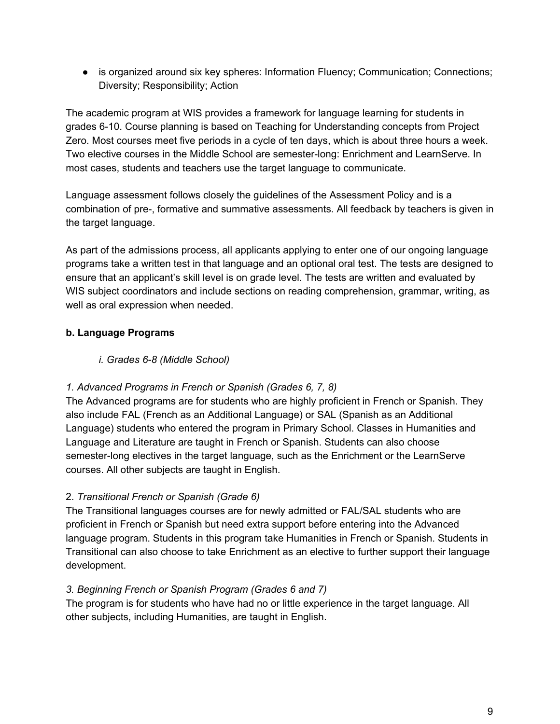• is organized around six key spheres: Information Fluency; Communication; Connections; Diversity; Responsibility; Action

The academic program at WIS provides a framework for language learning for students in grades 6-10. Course planning is based on Teaching for Understanding concepts from Project Zero. Most courses meet five periods in a cycle of ten days, which is about three hours a week. Two elective courses in the Middle School are semester-long: Enrichment and LearnServe. In most cases, students and teachers use the target language to communicate.

Language assessment follows closely the guidelines of the Assessment Policy and is a combination of pre-, formative and summative assessments. All feedback by teachers is given in the target language.

As part of the admissions process, all applicants applying to enter one of our ongoing language programs take a written test in that language and an optional oral test. The tests are designed to ensure that an applicant's skill level is on grade level. The tests are written and evaluated by WIS subject coordinators and include sections on reading comprehension, grammar, writing, as well as oral expression when needed.

# **b. Language Programs**

# *i. Grades 6-8 (Middle School)*

# *1. Advanced Programs in French or Spanish (Grades 6, 7, 8)*

The Advanced programs are for students who are highly proficient in French or Spanish. They also include FAL (French as an Additional Language) or SAL (Spanish as an Additional Language) students who entered the program in Primary School. Classes in Humanities and Language and Literature are taught in French or Spanish. Students can also choose semester-long electives in the target language, such as the Enrichment or the LearnServe courses. All other subjects are taught in English.

### 2. *Transitional French or Spanish (Grade 6)*

The Transitional languages courses are for newly admitted or FAL/SAL students who are proficient in French or Spanish but need extra support before entering into the Advanced language program. Students in this program take Humanities in French or Spanish. Students in Transitional can also choose to take Enrichment as an elective to further support their language development.

### *3. Beginning French or Spanish Program (Grades 6 and 7)*

The program is for students who have had no or little experience in the target language. All other subjects, including Humanities, are taught in English.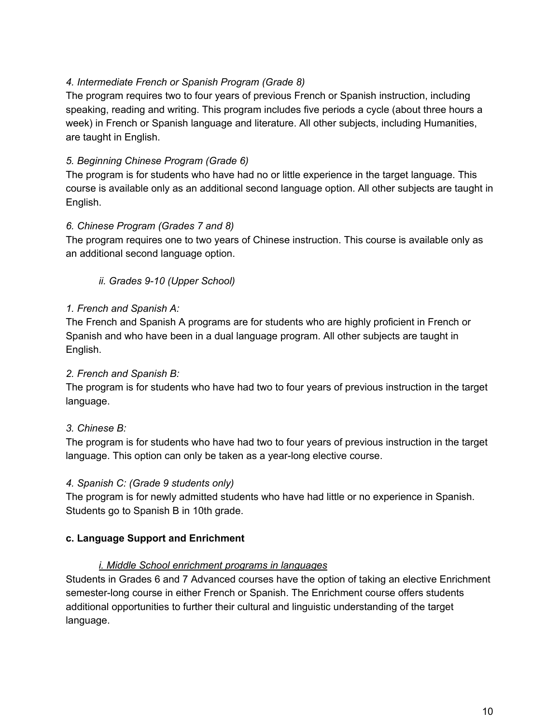#### *4. Intermediate French or Spanish Program (Grade 8)*

The program requires two to four years of previous French or Spanish instruction, including speaking, reading and writing. This program includes five periods a cycle (about three hours a week) in French or Spanish language and literature. All other subjects, including Humanities, are taught in English.

### *5. Beginning Chinese Program (Grade 6)*

The program is for students who have had no or little experience in the target language. This course is available only as an additional second language option. All other subjects are taught in English.

#### *6. Chinese Program (Grades 7 and 8)*

The program requires one to two years of Chinese instruction. This course is available only as an additional second language option.

*ii. Grades 9-10 (Upper School)*

#### *1. French and Spanish A:*

The French and Spanish A programs are for students who are highly proficient in French or Spanish and who have been in a dual language program. All other subjects are taught in English.

#### *2. French and Spanish B:*

The program is for students who have had two to four years of previous instruction in the target language.

### *3. Chinese B:*

The program is for students who have had two to four years of previous instruction in the target language. This option can only be taken as a year-long elective course.

#### *4. Spanish C: (Grade 9 students only)*

The program is for newly admitted students who have had little or no experience in Spanish. Students go to Spanish B in 10th grade.

### **c. Language Support and Enrichment**

#### *i. Middle School enrichment programs in languages*

Students in Grades 6 and 7 Advanced courses have the option of taking an elective Enrichment semester-long course in either French or Spanish. The Enrichment course offers students additional opportunities to further their cultural and linguistic understanding of the target language.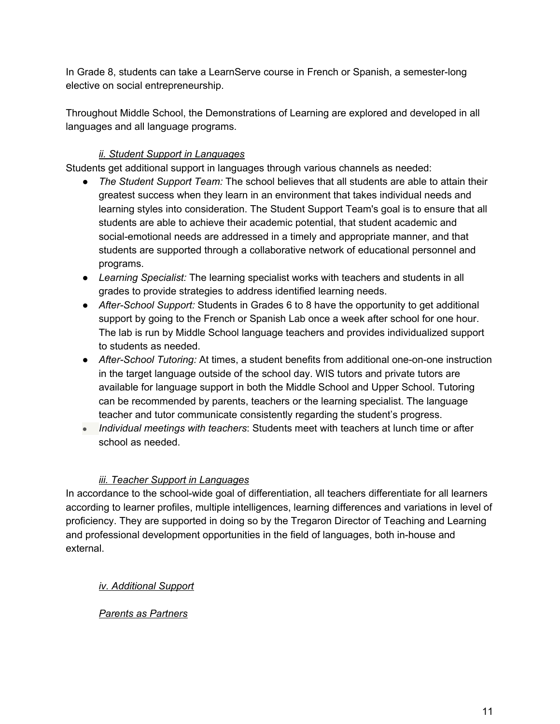In Grade 8, students can take a LearnServe course in French or Spanish, a semester-long elective on social entrepreneurship.

Throughout Middle School, the Demonstrations of Learning are explored and developed in all languages and all language programs.

### *ii. Student Support in Languages*

Students get additional support in languages through various channels as needed:

- *The Student Support Team:* The school believes that all students are able to attain their greatest success when they learn in an environment that takes individual needs and learning styles into consideration. The Student Support Team's goal is to ensure that all students are able to achieve their academic potential, that student academic and social-emotional needs are addressed in a timely and appropriate manner, and that students are supported through a collaborative network of educational personnel and programs.
- *Learning Specialist:* The learning specialist works with teachers and students in all grades to provide strategies to address identified learning needs.
- *After-School Support:* Students in Grades 6 to 8 have the opportunity to get additional support by going to the French or Spanish Lab once a week after school for one hour. The lab is run by Middle School language teachers and provides individualized support to students as needed.
- *After-School Tutoring:* At times, a student benefits from additional one-on-one instruction in the target language outside of the school day. WIS tutors and private tutors are available for language support in both the Middle School and Upper School. Tutoring can be recommended by parents, teachers or the learning specialist. The language teacher and tutor communicate consistently regarding the student's progress.
- *Individual meetings with teachers*: Students meet with teachers at lunch time or after school as needed.

### *iii. Teacher Support in Languages*

In accordance to the school-wide goal of differentiation, all teachers differentiate for all learners according to learner profiles, multiple intelligences, learning differences and variations in level of proficiency. They are supported in doing so by the Tregaron Director of Teaching and Learning and professional development opportunities in the field of languages, both in-house and external.

*iv. Additional Support*

# *Parents as Partners*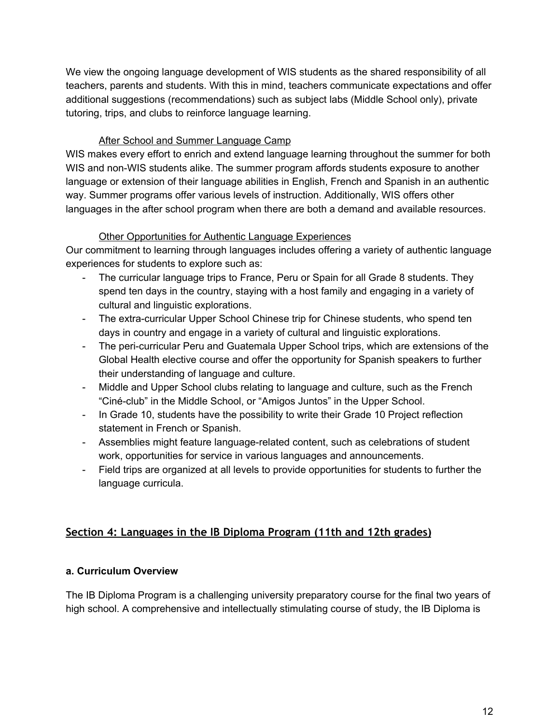We view the ongoing language development of WIS students as the shared responsibility of all teachers, parents and students. With this in mind, teachers communicate expectations and offer additional suggestions (recommendations) such as subject labs (Middle School only), private tutoring, trips, and clubs to reinforce language learning.

### **After School and Summer Language Camp**

WIS makes every effort to enrich and extend language learning throughout the summer for both WIS and non-WIS students alike. The summer program affords students exposure to another language or extension of their language abilities in English, French and Spanish in an authentic way. Summer programs offer various levels of instruction. Additionally, WIS offers other languages in the after school program when there are both a demand and available resources.

#### Other Opportunities for Authentic Language Experiences

Our commitment to learning through languages includes offering a variety of authentic language experiences for students to explore such as:

- The curricular language trips to France, Peru or Spain for all Grade 8 students. They spend ten days in the country, staying with a host family and engaging in a variety of cultural and linguistic explorations.
- The extra-curricular Upper School Chinese trip for Chinese students, who spend ten days in country and engage in a variety of cultural and linguistic explorations.
- The peri-curricular Peru and Guatemala Upper School trips, which are extensions of the Global Health elective course and offer the opportunity for Spanish speakers to further their understanding of language and culture.
- Middle and Upper School clubs relating to language and culture, such as the French "Ciné-club" in the Middle School, or "Amigos Juntos" in the Upper School.
- In Grade 10, students have the possibility to write their Grade 10 Project reflection statement in French or Spanish.
- Assemblies might feature language-related content, such as celebrations of student work, opportunities for service in various languages and announcements.
- Field trips are organized at all levels to provide opportunities for students to further the language curricula.

# <span id="page-11-0"></span>**Section 4: Languages in the IB Diploma Program (11th and 12th grades)**

### **a. Curriculum Overview**

The IB Diploma Program is a challenging university preparatory course for the final two years of high school. A comprehensive and intellectually stimulating course of study, the IB Diploma is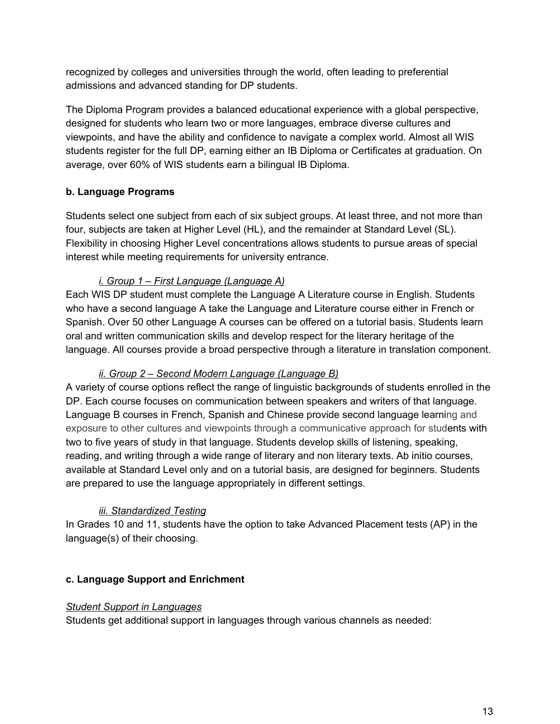recognized by colleges and universities through the world, often leading to preferential admissions and advanced standing for DP students.

The Diploma Program provides a balanced educational experience with a global perspective, designed for students who learn two or more languages, embrace diverse cultures and viewpoints, and have the ability and confidence to navigate a complex world. Almost all WIS students register for the full DP, earning either an IB Diploma or Certificates at graduation. On average, over 60% of WIS students earn a bilingual IB Diploma.

# **b. Language Programs**

Students select one subject from each of six subject groups. At least three, and not more than four, subjects are taken at Higher Level (HL), and the remainder at Standard Level (SL). Flexibility in choosing Higher Level concentrations allows students to pursue areas of special interest while meeting requirements for university entrance.

# *i. Group 1 – First Language (Language A)*

Each WIS DP student must complete the Language A Literature course in English. Students who have a second language A take the Language and Literature course either in French or Spanish. Over 50 other Language A courses can be offered on a tutorial basis. Students learn oral and written communication skills and develop respect for the literary heritage of the language. All courses provide a broad perspective through a literature in translation component.

### *ii. Group 2 – Second Modern Language (Language B)*

A variety of course options reflect the range of linguistic backgrounds of students enrolled in the DP. Each course focuses on communication between speakers and writers of that language. Language B courses in French, Spanish and Chinese provide second language learning and exposure to other cultures and viewpoints through a communicative approach for students with two to five years of study in that language. Students develop skills of listening, speaking, reading, and writing through a wide range of literary and non literary texts. Ab initio courses, available at Standard Level only and on a tutorial basis, are designed for beginners. Students are prepared to use the language appropriately in different settings.

### *iii. Standardized Testing*

In Grades 10 and 11, students have the option to take Advanced Placement tests (AP) in the language(s) of their choosing.

### **c. Language Support and Enrichment**

### *Student Support in Languages*

Students get additional support in languages through various channels as needed: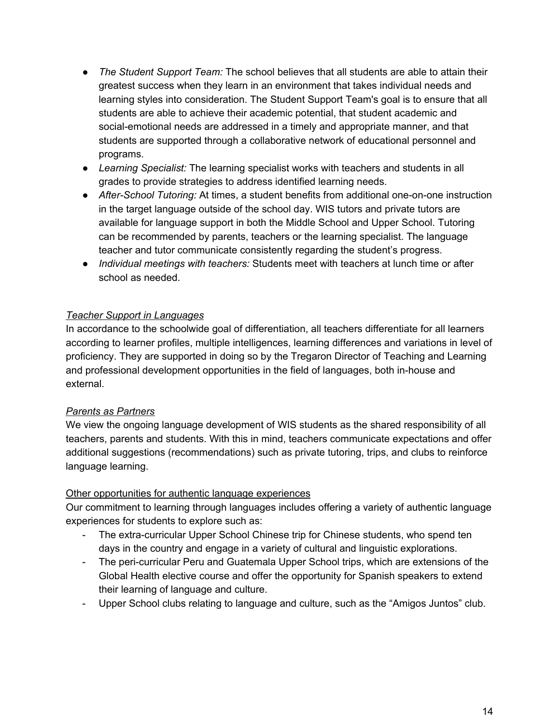- *The Student Support Team:* The school believes that all students are able to attain their greatest success when they learn in an environment that takes individual needs and learning styles into consideration. The Student Support Team's goal is to ensure that all students are able to achieve their academic potential, that student academic and social-emotional needs are addressed in a timely and appropriate manner, and that students are supported through a collaborative network of educational personnel and programs.
- *Learning Specialist:* The learning specialist works with teachers and students in all grades to provide strategies to address identified learning needs.
- *After-School Tutoring:* At times, a student benefits from additional one-on-one instruction in the target language outside of the school day. WIS tutors and private tutors are available for language support in both the Middle School and Upper School. Tutoring can be recommended by parents, teachers or the learning specialist. The language teacher and tutor communicate consistently regarding the student's progress.
- *Individual meetings with teachers:* Students meet with teachers at lunch time or after school as needed.

### *Teacher Support in Languages*

In accordance to the schoolwide goal of differentiation, all teachers differentiate for all learners according to learner profiles, multiple intelligences, learning differences and variations in level of proficiency. They are supported in doing so by the Tregaron Director of Teaching and Learning and professional development opportunities in the field of languages, both in-house and external.

#### *Parents as Partners*

We view the ongoing language development of WIS students as the shared responsibility of all teachers, parents and students. With this in mind, teachers communicate expectations and offer additional suggestions (recommendations) such as private tutoring, trips, and clubs to reinforce language learning.

#### Other opportunities for authentic language experiences

Our commitment to learning through languages includes offering a variety of authentic language experiences for students to explore such as:

- The extra-curricular Upper School Chinese trip for Chinese students, who spend ten days in the country and engage in a variety of cultural and linguistic explorations.
- The peri-curricular Peru and Guatemala Upper School trips, which are extensions of the Global Health elective course and offer the opportunity for Spanish speakers to extend their learning of language and culture.
- Upper School clubs relating to language and culture, such as the "Amigos Juntos" club.